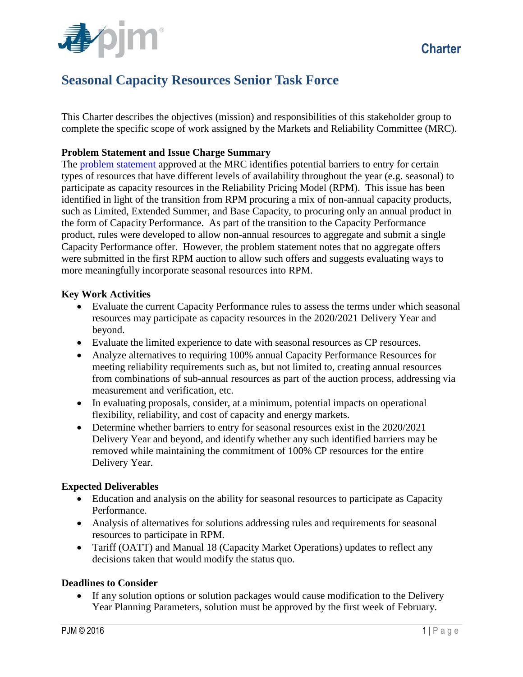

# **Seasonal Capacity Resources Senior Task Force**

This Charter describes the objectives (mission) and responsibilities of this stakeholder group to complete the specific scope of work assigned by the Markets and Reliability Committee (MRC).

## **Problem Statement and Issue Charge Summary**

The [problem statement](http://www.pjm.com/%7E/media/committees-groups/committees/mrc/20160128/20160128-item-08-seasonal-resource-problem-statement.ashx) approved at the MRC identifies potential barriers to entry for certain types of resources that have different levels of availability throughout the year (e.g. seasonal) to participate as capacity resources in the Reliability Pricing Model (RPM). This issue has been identified in light of the transition from RPM procuring a mix of non-annual capacity products, such as Limited, Extended Summer, and Base Capacity, to procuring only an annual product in the form of Capacity Performance. As part of the transition to the Capacity Performance product, rules were developed to allow non-annual resources to aggregate and submit a single Capacity Performance offer. However, the problem statement notes that no aggregate offers were submitted in the first RPM auction to allow such offers and suggests evaluating ways to more meaningfully incorporate seasonal resources into RPM.

## **Key Work Activities**

- Evaluate the current Capacity Performance rules to assess the terms under which seasonal resources may participate as capacity resources in the 2020/2021 Delivery Year and beyond.
- Evaluate the limited experience to date with seasonal resources as CP resources.
- Analyze alternatives to requiring 100% annual Capacity Performance Resources for meeting reliability requirements such as, but not limited to, creating annual resources from combinations of sub-annual resources as part of the auction process, addressing via measurement and verification, etc.
- In evaluating proposals, consider, at a minimum, potential impacts on operational flexibility, reliability, and cost of capacity and energy markets.
- Determine whether barriers to entry for seasonal resources exist in the 2020/2021 Delivery Year and beyond, and identify whether any such identified barriers may be removed while maintaining the commitment of 100% CP resources for the entire Delivery Year.

#### **Expected Deliverables**

- Education and analysis on the ability for seasonal resources to participate as Capacity Performance.
- Analysis of alternatives for solutions addressing rules and requirements for seasonal resources to participate in RPM.
- Tariff (OATT) and Manual 18 (Capacity Market Operations) updates to reflect any decisions taken that would modify the status quo.

#### **Deadlines to Consider**

• If any solution options or solution packages would cause modification to the Delivery Year Planning Parameters, solution must be approved by the first week of February.